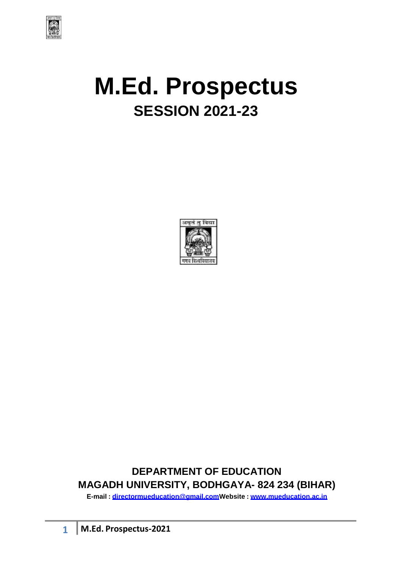

# **M.Ed. Prospectus SESSION 2021-23**



# **DEPARTMENT OF EDUCATION MAGADH UNIVERSITY, BODHGAYA- 824 234 (BIHAR)**

**E-mail : [directormueducation@gmail.comW](mailto:directormueducation@gmail.com)ebsite : [www.mueducation.ac.in](http://www.mueducation.ac.in/)**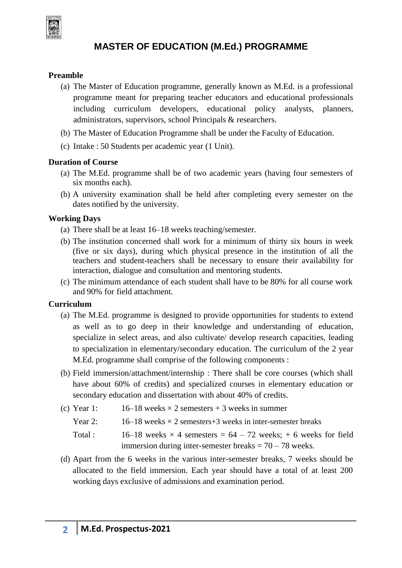

## **MASTER OF EDUCATION (M.Ed.) PROGRAMME**

#### **Preamble**

- (a) The Master of Education programme, generally known as M.Ed. is a professional programme meant for preparing teacher educators and educational professionals including curriculum developers, educational policy analysts, planners, administrators, supervisors, school Principals & researchers.
- (b) The Master of Education Programme shall be under the Faculty of Education.
- (c) Intake : 50 Students per academic year (1 Unit).

#### **Duration of Course**

- (a) The M.Ed. programme shall be of two academic years (having four semesters of six months each).
- (b) A university examination shall be held after completing every semester on the dates notified by the university.

#### **Working Days**

- (a) There shall be at least 16–18 weeks teaching/semester.
- (b) The institution concerned shall work for a minimum of thirty six hours in week (five or six days), during which physical presence in the institution of all the teachers and student-teachers shall be necessary to ensure their availability for interaction, dialogue and consultation and mentoring students.
- (c) The minimum attendance of each student shall have to be 80% for all course work and 90% for field attachment.

#### **Curriculum**

- (a) The M.Ed. programme is designed to provide opportunities for students to extend as well as to go deep in their knowledge and understanding of education, specialize in select areas, and also cultivate/ develop research capacities, leading to specialization in elementary/secondary education. The curriculum of the 2 year M.Ed. programme shall comprise of the following components :
- (b) Field immersion/attachment/internship : There shall be core courses (which shall have about 60% of credits) and specialized courses in elementary education or secondary education and dissertation with about 40% of credits.
- (c) Year 1:  $16-18$  weeks  $\times$  2 semesters + 3 weeks in summer
	- Year 2:  $16-18$  weeks  $\times$  2 semesters +3 weeks in inter-semester breaks
	- Total : 16–18 weeks  $\times$  4 semesters = 64 72 weeks; + 6 weeks for field immersion during inter-semester breaks  $= 70 - 78$  weeks.
- (d) Apart from the 6 weeks in the various inter-semester breaks, 7 weeks should be allocated to the field immersion. Each year should have a total of at least 200 working days exclusive of admissions and examination period.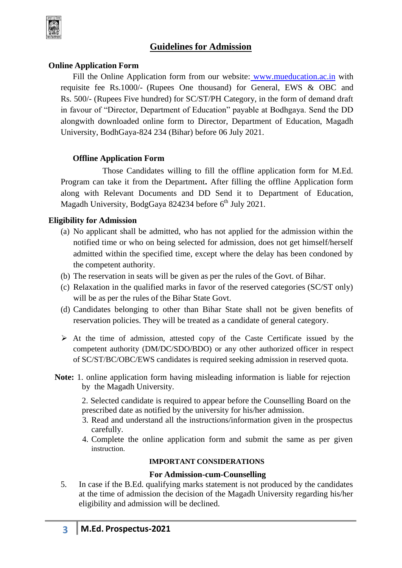

### **Guidelines for Admission**

#### **Online Application Form**

Fill the Online Application form from our website: [www.mueducation.ac.in](http://www.mueducation.ac.in/) with requisite fee Rs.1000/- (Rupees One thousand) for General, EWS & OBC and Rs. 500/- (Rupees Five hundred) for SC/ST/PH Category, in the form of demand draft in favour of "Director, Department of Education" payable at Bodhgaya. Send the DD alongwith downloaded online form to Director, Department of Education, Magadh University, BodhGaya-824 234 (Bihar) before 06 July 2021.

#### **Offline Application Form**

Those Candidates willing to fill the offline application form for M.Ed. Program can take it from the Department**.** After filling the offline Application form along with Relevant Documents and DD Send it to Department of Education, Magadh University, BodgGaya 824234 before 6<sup>th</sup> July 2021.

#### **Eligibility for Admission**

- (a) No applicant shall be admitted, who has not applied for the admission within the notified time or who on being selected for admission, does not get himself/herself admitted within the specified time, except where the delay has been condoned by the competent authority.
- (b) The reservation in seats will be given as per the rules of the Govt. of Bihar.
- (c) Relaxation in the qualified marks in favor of the reserved categories (SC/ST only) will be as per the rules of the Bihar State Govt.
- (d) Candidates belonging to other than Bihar State shall not be given benefits of reservation policies. They will be treated as a candidate of general category.
- $\triangleright$  At the time of admission, attested copy of the Caste Certificate issued by the competent authority (DM/DC/SDO/BDO) or any other authorized officer in respect of SC/ST/BC/OBC/EWS candidates is required seeking admission in reserved quota.
- **Note:** 1. online application form having misleading information is liable for rejection by the Magadh University.

2. Selected candidate is required to appear before the Counselling Board on the prescribed date as notified by the university for his/her admission.

- 3. Read and understand all the instructions/information given in the prospectus carefully.
- 4. Complete the online application form and submit the same as per given instruction.

#### **IMPORTANT CONSIDERATIONS**

#### **For Admission-cum-Counselling**

5. In case if the B.Ed. qualifying marks statement is not produced by the candidates at the time of admission the decision of the Magadh University regarding his/her eligibility and admission will be declined.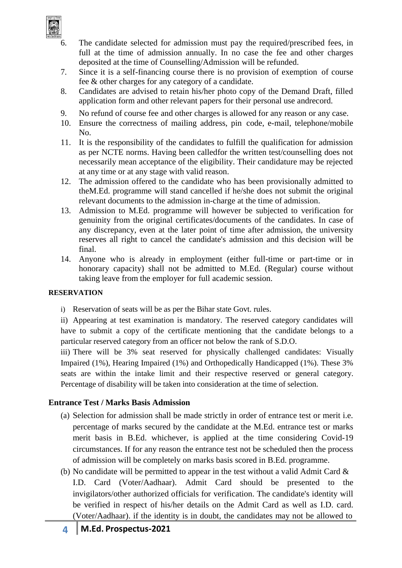

- The candidate selected for admission must pay the required/prescribed fees, in full at the time of admission annually. In no case the fee and other charges deposited at the time of Counselling/Admission will be refunded.
- 7. Since it is a self-financing course there is no provision of exemption of course fee & other charges for any category of a candidate.
- 8. Candidates are advised to retain his/her photo copy of the Demand Draft, filled application form and other relevant papers for their personal use andrecord.
- 9. No refund of course fee and other charges is allowed for any reason or any case.
- 10. Ensure the correctness of mailing address, pin code, e-mail, telephone/mobile No.
- 11. It is the responsibility of the candidates to fulfill the qualification for admission as per NCTE norms. Having been calledfor the written test/counselling does not necessarily mean acceptance of the eligibility. Their candidature may be rejected at any time or at any stage with valid reason.
- 12. The admission offered to the candidate who has been provisionally admitted to theM.Ed. programme will stand cancelled if he/she does not submit the original relevant documents to the admission in-charge at the time of admission.
- 13. Admission to M.Ed. programme will however be subjected to verification for genuinity from the original certificates/documents of the candidates. In case of any discrepancy, even at the later point of time after admission, the university reserves all right to cancel the candidate's admission and this decision will be final.
- 14. Anyone who is already in employment (either full-time or part-time or in honorary capacity) shall not be admitted to M.Ed. (Regular) course without taking leave from the employer for full academic session.

#### **RESERVATION**

i) Reservation of seats will be as per the Bihar state Govt. rules.

ii) Appearing at test examination is mandatory. The reserved category candidates will have to submit a copy of the certificate mentioning that the candidate belongs to a particular reserved category from an officer not below the rank of S.D.O.

iii) There will be 3% seat reserved for physically challenged candidates: Visually Impaired (1%), Hearing Impaired (1%) and Orthopedically Handicapped (1%). These 3% seats are within the intake limit and their respective reserved or general category. Percentage of disability will be taken into consideration at the time of selection.

#### **Entrance Test / Marks Basis Admission**

- (a) Selection for admission shall be made strictly in order of entrance test or merit i.e. percentage of marks secured by the candidate at the M.Ed. entrance test or marks merit basis in B.Ed. whichever, is applied at the time considering Covid-19 circumstances. If for any reason the entrance test not be scheduled then the process of admission will be completely on marks basis scored in B.Ed. programme.
- (b) No candidate will be permitted to appear in the test without a valid Admit Card & I.D. Card (Voter/Aadhaar). Admit Card should be presented to the invigilators/other authorized officials for verification. The candidate's identity will be verified in respect of his/her details on the Admit Card as well as I.D. card. (Voter/Aadhaar). if the identity is in doubt, the candidates may not be allowed to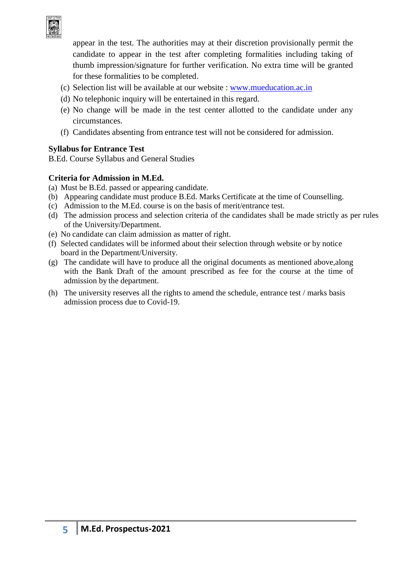

appear in the test. The authorities may at their discretion provisionally permit the candidate to appear in the test after completing formalities including taking of thumb impression/signature for further verification. No extra time will be granted for these formalities to be completed.

- (c) Selection list will be available at our website : [www.mueducation.ac.in](http://www.mueducation.ac.in/)
- (d) No telephonic inquiry will be entertained in this regard.
- (e) No change will be made in the test center allotted to the candidate under any circumstances.
- (f) Candidates absenting from entrance test will not be considered for admission.

#### **Syllabus for Entrance Test**

B.Ed. Course Syllabus and General Studies

#### **Criteria for Admission in M.Ed.**

- (a) Must be B.Ed. passed or appearing candidate.
- (b) Appearing candidate must produce B.Ed. Marks Certificate at the time of Counselling.
- (c) Admission to the M.Ed. course is on the basis of merit/entrance test.
- (d) The admission process and selection criteria of the candidates shall be made strictly as per rules of the University/Department.
- (e) No candidate can claim admission as matter of right.
- (f) Selected candidates will be informed about their selection through website or by notice board in the Department/University.
- (g) The candidate will have to produce all the original documents as mentioned above,along with the Bank Draft of the amount prescribed as fee for the course at the time of admission by the department.
- (h) The university reserves all the rights to amend the schedule, entrance test / marks basis admission process due to Covid-19.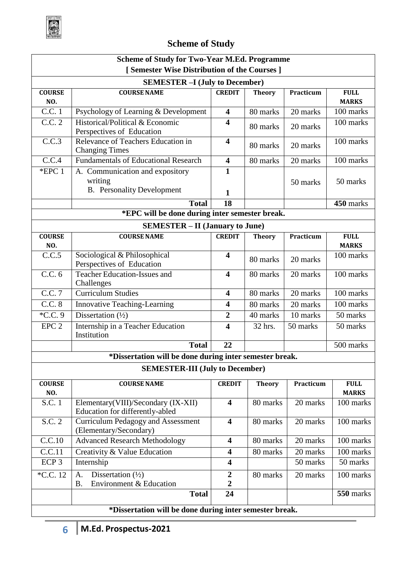

# **Scheme of Study**

| <b>Scheme of Study for Two-Year M.Ed. Programme</b>     |                                                                            |                                    |               |           |                             |
|---------------------------------------------------------|----------------------------------------------------------------------------|------------------------------------|---------------|-----------|-----------------------------|
|                                                         | [Semester Wise Distribution of the Courses]                                |                                    |               |           |                             |
| <b>SEMESTER - I (July to December)</b>                  |                                                                            |                                    |               |           |                             |
| <b>COURSE</b>                                           | <b>COURSE NAME</b>                                                         | <b>CREDIT</b>                      | <b>Theory</b> | Practicum | <b>FULL</b>                 |
| NO.                                                     |                                                                            |                                    |               |           | <b>MARKS</b>                |
| C.C.1                                                   | Psychology of Learning & Development                                       | $\overline{\mathbf{4}}$            | 80 marks      | 20 marks  | 100 marks                   |
| C.C. 2                                                  | Historical/Political & Economic<br>Perspectives of Education               | $\overline{\mathbf{4}}$            | 80 marks      | 20 marks  | 100 marks                   |
| C.C.3                                                   | Relevance of Teachers Education in<br><b>Changing Times</b>                | $\overline{\mathbf{4}}$            | 80 marks      | 20 marks  | 100 marks                   |
| C.C.4                                                   | <b>Fundamentals of Educational Research</b>                                | $\overline{\mathbf{4}}$            | 80 marks      | 20 marks  | 100 marks                   |
| *EPC 1                                                  | A. Communication and expository<br>writing                                 | $\mathbf{1}$                       |               | 50 marks  | 50 marks                    |
|                                                         | <b>B.</b> Personality Development                                          | $\mathbf{1}$                       |               |           |                             |
|                                                         | <b>Total</b>                                                               | 18                                 |               |           | 450 marks                   |
|                                                         | *EPC will be done during inter semester break.                             |                                    |               |           |                             |
|                                                         | <b>SEMESTER – II (January to June)</b>                                     |                                    |               |           |                             |
| <b>COURSE</b>                                           | <b>COURSE NAME</b>                                                         | <b>CREDIT</b>                      | <b>Theory</b> | Practicum | <b>FULL</b>                 |
| NO.                                                     |                                                                            |                                    |               |           | <b>MARKS</b>                |
| C.C.5                                                   | Sociological & Philosophical<br>Perspectives of Education                  | $\overline{\mathbf{4}}$            | 80 marks      | 20 marks  | 100 marks                   |
| C.C. 6                                                  | <b>Teacher Education-Issues and</b><br>Challenges                          | $\overline{\mathbf{4}}$            | 80 marks      | 20 marks  | 100 marks                   |
| C.C. 7                                                  | <b>Curriculum Studies</b>                                                  | $\overline{\mathbf{4}}$            | 80 marks      | 20 marks  | 100 marks                   |
| C.C. 8                                                  | <b>Innovative Teaching-Learning</b>                                        | $\overline{\mathbf{4}}$            | 80 marks      | 20 marks  | 100 marks                   |
| *C.C. 9                                                 | Dissertation $(\frac{1}{2})$                                               | $\boldsymbol{2}$                   | 40 marks      | 10 marks  | 50 marks                    |
| EPC <sub>2</sub>                                        | Internship in a Teacher Education<br>Institution                           | $\overline{\mathbf{4}}$            | 32 hrs.       | 50 marks  | 50 marks                    |
|                                                         | <b>Total</b>                                                               | 22                                 |               |           | 500 marks                   |
|                                                         | *Dissertation will be done during inter semester break.                    |                                    |               |           |                             |
| <b>SEMESTER-III (July to December)</b>                  |                                                                            |                                    |               |           |                             |
| <b>COURSE</b><br>NO.                                    | <b>COURSE NAME</b>                                                         | <b>CREDIT</b>                      | <b>Theory</b> | Practicum | <b>FULL</b><br><b>MARKS</b> |
| S.C. 1                                                  | Elementary(VIII)/Secondary (IX-XII)<br>Education for differently-abled     | $\overline{\mathbf{4}}$            | 80 marks      | 20 marks  | 100 marks                   |
| S.C. 2                                                  | <b>Curriculum Pedagogy and Assessment</b><br>(Elementary/Secondary)        | $\overline{\mathbf{4}}$            | 80 marks      | 20 marks  | 100 marks                   |
| C.C.10                                                  | <b>Advanced Research Methodology</b>                                       | $\overline{\mathbf{4}}$            | 80 marks      | 20 marks  | 100 marks                   |
| C.C.11                                                  | Creativity & Value Education                                               | $\overline{\mathbf{4}}$            | 80 marks      | 20 marks  | 100 marks                   |
| ECP <sub>3</sub>                                        | Internship                                                                 | $\overline{\mathbf{4}}$            |               | 50 marks  | 50 marks                    |
| *C.C. 12                                                | Dissertation $(\frac{1}{2})$<br>A.<br>Environment & Education<br><b>B.</b> | $\boldsymbol{2}$<br>$\overline{2}$ | 80 marks      | 20 marks  | 100 marks                   |
|                                                         | <b>Total</b>                                                               | 24                                 |               |           | 550 marks                   |
| *Dissertation will be done during inter semester break. |                                                                            |                                    |               |           |                             |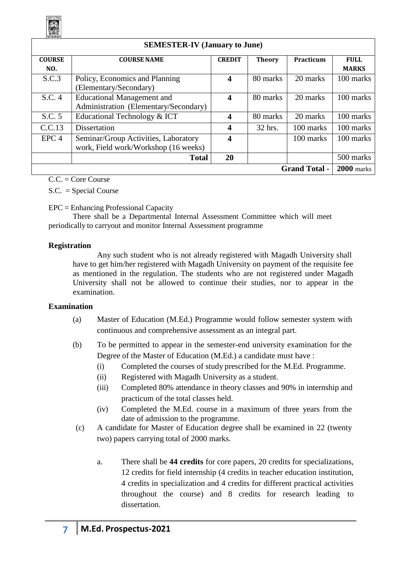

| <b>SEMESTER-IV (January to June)</b> |                                       |                       |               |           |              |
|--------------------------------------|---------------------------------------|-----------------------|---------------|-----------|--------------|
| <b>COURSE</b>                        | <b>COURSE NAME</b>                    | <b>CREDIT</b>         | <b>Theory</b> | Practicum | <b>FULL</b>  |
| NO.                                  |                                       |                       |               |           | <b>MARKS</b> |
| S.C.3                                | Policy, Economics and Planning        | $\boldsymbol{4}$      | 80 marks      | 20 marks  | 100 marks    |
|                                      | (Elementary/Secondary)                |                       |               |           |              |
| S.C. 4                               | <b>Educational Management and</b>     | $\boldsymbol{\Delta}$ | 80 marks      | 20 marks  | 100 marks    |
|                                      | Administration (Elementary/Secondary) |                       |               |           |              |
| S.C. 5                               | Educational Technology & ICT          | 4                     | 80 marks      | 20 marks  | 100 marks    |
| C.C.13                               | <b>Dissertation</b>                   | $\overline{4}$        | 32 hrs.       | 100 marks | 100 marks    |
| EPC <sub>4</sub>                     | Seminar/Group Activities, Laboratory  | 4                     |               | 100 marks | 100 marks    |
|                                      | work, Field work/Workshop (16 weeks)  |                       |               |           |              |
|                                      | <b>Total</b>                          | 20                    |               |           | 500 marks    |
| <b>Grand Total -</b>                 |                                       |                       |               |           | $2000$ marks |

 $C.C. = Core Course$ 

S.C. = Special Course

EPC = Enhancing Professional Capacity

There shall be a Departmental Internal Assessment Committee which will meet periodically to carryout and monitor Internal Assessment programme

#### **Registration**

Any such student who is not already registered with Magadh University shall have to get him/her registered with Magadh University on payment of the requisite fee as mentioned in the regulation. The students who are not registered under Magadh University shall not be allowed to continue their studies, nor to appear in the examination.

#### **Examination**

- (a) Master of Education (M.Ed.) Programme would follow semester system with continuous and comprehensive assessment as an integral part.
- (b) To be permitted to appear in the semester-end university examination for the Degree of the Master of Education (M.Ed.) a candidate must have :
	- (i) Completed the courses of study prescribed for the M.Ed. Programme.
	- (ii) Registered with Magadh University as a student.
	- (iii) Completed 80% attendance in theory classes and 90% in internship and practicum of the total classes held.
	- (iv) Completed the M.Ed. course in a maximum of three years from the date of admission to the programme.
- (c) A candidate for Master of Education degree shall be examined in 22 (twenty two) papers carrying total of 2000 marks.
	- a. There shall be **44 credits** for core papers, 20 credits for specializations, 12 credits for field internship (4 credits in teacher education institution, 4 credits in specialization and 4 credits for different practical activities throughout the course) and 8 credits for research leading to dissertation.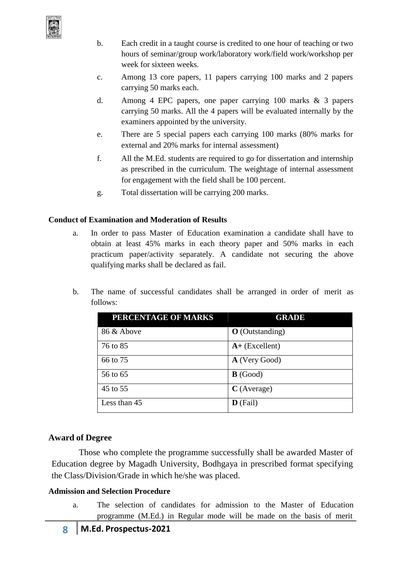

- b. Each credit in a taught course is credited to one hour of teaching or two hours of seminar/group work/laboratory work/field work/workshop per week for sixteen weeks.
- c. Among 13 core papers, 11 papers carrying 100 marks and 2 papers carrying 50 marks each.
- d. Among 4 EPC papers, one paper carrying 100 marks & 3 papers carrying 50 marks. All the 4 papers will be evaluated internally by the examiners appointed by the university.
- e. There are 5 special papers each carrying 100 marks (80% marks for external and 20% marks for internal assessment)
- f. All the M.Ed. students are required to go for dissertation and internship as prescribed in the curriculum. The weightage of internal assessment for engagement with the field shall be 100 percent.
- g. Total dissertation will be carrying 200 marks.

#### **Conduct of Examination and Moderation of Results**

- a. In order to pass Master of Education examination a candidate shall have to obtain at least 45% marks in each theory paper and 50% marks in each practicum paper/activity separately. A candidate not securing the above qualifying marks shall be declared as fail.
- b. The name of successful candidates shall be arranged in order of merit as follows:

| PERCENTAGE OF MARKS | <b>GRADE</b>           |
|---------------------|------------------------|
| 86 & Above          | <b>O</b> (Outstanding) |
| 76 to 85            | $A+$ (Excellent)       |
| 66 to 75            | A (Very Good)          |
| 56 to 65            | $\mathbf{B}$ (Good)    |
| 45 to 55            | $C$ (Average)          |
| Less than 45        | $\bf{D}$ (Fail)        |

#### **Award of Degree**

Those who complete the programme successfully shall be awarded Master of Education degree by Magadh University, Bodhgaya in prescribed format specifying the Class/Division/Grade in which he/she was placed.

#### **Admission and Selection Procedure**

a. The selection of candidates for admission to the Master of Education programme (M.Ed.) in Regular mode will be made on the basis of merit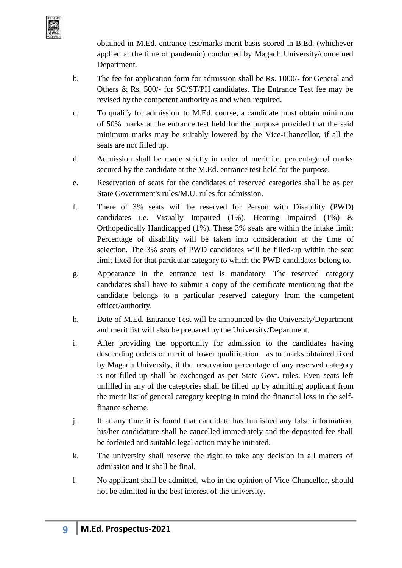

obtained in M.Ed. entrance test/marks merit basis scored in B.Ed. (whichever applied at the time of pandemic) conducted by Magadh University/concerned Department.

- b. The fee for application form for admission shall be Rs. 1000/- for General and Others & Rs. 500/- for SC/ST/PH candidates. The Entrance Test fee may be revised by the competent authority as and when required.
- c. To qualify for admission to M.Ed. course, a candidate must obtain minimum of 50% marks at the entrance test held for the purpose provided that the said minimum marks may be suitably lowered by the Vice-Chancellor, if all the seats are not filled up.
- d. Admission shall be made strictly in order of merit i.e. percentage of marks secured by the candidate at the M.Ed. entrance test held for the purpose.
- e. Reservation of seats for the candidates of reserved categories shall be as per State Government's rules/M.U. rules for admission.
- f. There of 3% seats will be reserved for Person with Disability (PWD) candidates i.e. Visually Impaired (1%), Hearing Impaired (1%) & Orthopedically Handicapped (1%). These 3% seats are within the intake limit: Percentage of disability will be taken into consideration at the time of selection. The 3% seats of PWD candidates will be filled-up within the seat limit fixed for that particular category to which the PWD candidates belong to.
- g. Appearance in the entrance test is mandatory. The reserved category candidates shall have to submit a copy of the certificate mentioning that the candidate belongs to a particular reserved category from the competent officer/authority.
- h. Date of M.Ed. Entrance Test will be announced by the University/Department and merit list will also be prepared by the University/Department.
- i. After providing the opportunity for admission to the candidates having descending orders of merit of lower qualification as to marks obtained fixed by Magadh University, if the reservation percentage of any reserved category is not filled-up shall be exchanged as per State Govt. rules. Even seats left unfilled in any of the categories shall be filled up by admitting applicant from the merit list of general category keeping in mind the financial loss in the selffinance scheme.
- j. If at any time it is found that candidate has furnished any false information, his/her candidature shall be cancelled immediately and the deposited fee shall be forfeited and suitable legal action may be initiated.
- k. The university shall reserve the right to take any decision in all matters of admission and it shall be final.
- l. No applicant shall be admitted, who in the opinion of Vice-Chancellor, should not be admitted in the best interest of the university.